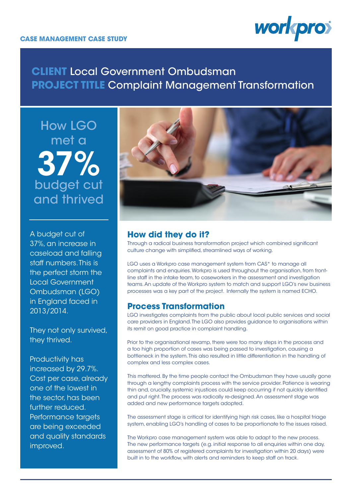

# **CLIENT** Local Government Ombudsman **PROJECT TITLE** Complaint Management Transformation

37% How LGO met a budget cut and thrived

A budget cut of 37%, an increase in caseload and falling staff numbers. This is the perfect storm the Local Government Ombudsman (LGO) in England faced in 2013/2014.

They not only survived, they thrived.

Productivity has increased by 29.7%. Cost per case, already one of the lowest in the sector, has been further reduced. Performance targets are being exceeded and quality standards improved.



# **How did they do it?**

Through a radical business transformation project which combined significant culture change with simplified, streamlined ways of working.

LGO uses a Workpro case management system from CAS\* to manage all complaints and enquiries. Workpro is used throughout the organisation, from frontline staff in the intake team, to caseworkers in the assessment and investigation teams. An update of the Workpro system to match and support LGO's new business processes was a key part of the project. Internally the system is named ECHO.

## **Process Transformation**

LGO investigates complaints from the public about local public services and social care providers in England. The LGO also provides guidance to organisations within its remit on good practice in complaint handling.

Prior to the organisational revamp, there were too many steps in the process and a too high proportion of cases was being passed to investigation, causing a bottleneck in the system. This also resulted in little differentiation in the handling of complex and less complex cases.

This mattered. By the time people contact the Ombudsman they have usually gone through a lengthy complaints process with the service provider. Patience is wearing thin and, crucially, systemic injustices could keep occurring if not quickly identified and put right. The process was radically re-designed. An assessment stage was added and new performance targets adopted.

The assessment stage is critical for identifying high risk cases, like a hospital triage system, enabling LGO's handling of cases to be proportionate to the issues raised.

The Workpro case management system was able to adapt to the new process. The new performance targets (e.g. initial response to all enquiries within one day, assessment of 80% of registered complaints for investigation within 20 days) were built in to the workflow, with alerts and reminders to keep staff on track.